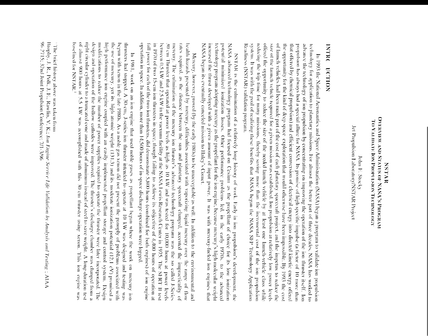## OVERVIEW AND STATUS OF NASA'S PROGRAM TO VALUME ION PRODUCTS OF TECHNOLOGY NUNE

Jet Propulsion Laboratory/NST/NR Project John F. Stocky

# NOLLOIL DALLNI

Readiness (NSTAR) validation program. system. It was with the goal of realizing these benefits that NASA began the NASA SHP Technology Application reducing the trip time for many missions, thereby saving more than the incremental cost of the ion propulsion offered the opportunity to reduce the size of the needed launch vehicle by at least one launch-vehicle class while size of the launch vehicle required for a given mission was established. Ion propulsion at relatively low power levels of launch vehicles had been made part of the cost of each planetary spacecraft project, and the impetus to reduce the the opportunity for the kind of deep space-exploration that would otherwise have been impossible. By 1993 the cost that offered by chemical propulsion) and efficient conversion of electrical energy into directed kinetic energy offered advance the technology of ion propulsion by concentrating on improving the operation of the ion-thruster itself. Ion technology for application to planetary missions. For almost the better part of three decades, NASA has worked to propulsion has always had a special allure for NASA. Its promise of high specific impulse (a factor of 10 more than In 1993 the National Acronautics and Space Administration (NASA) began a program to validate ion propulsion

NASA began its eventually canceled mission to Haley's Contet. increased the thrust developed with a given amount of input power. It was with mercury-fueled ion engines that technology program adopting mercury as the propellant for the ion engine, because mercury's high molecular weight potential minimized ionization losses. Other performance problems led, in the early 1970s, to the advanced NASA advanced technology program had focused on Cesium as the propellant of choice for its low ionization NSTAR is the culmination of a relatively long history of work. Early in ion propulsion's development, the

operation in space. In addition, more than 14,500 hours of in-space discharge operation were logged full power for cach of the two ion thrusters, did demonstrate 5,800 hours (combined for both engines) of ion engine between 0.5 kW and 2.5 kW in the vacuum facility at the NASA Lewis Research Center in 1975. The SERT II test mercury. The culmination of the mercury ion thruster's advanced technology program was the so-called J-Series rates required, as the distance between the sun and planetary spacecraft changed, accented the impracticality of health hazards presented by mercury, difficulties associated with vaporizing liquid mercury over the range of flow in 1970 of two 15-cm ion thrusters in space, though failing to achieve its objective of 4,400 hours of operation at 30-cm Thruster that operated at power levels as high as 10 kW and was tested for 10,000 hours at power levels Mercury, however, proved (by the early 1980s) to be unacceptable as well. In addition to the environmental and

right circular cylinder to a truncated cone and made of aluminum instead of steel to save weight. A long-duration test design and operation of the hollow cathodes were improved. The thruster's discharge chamber was changed from a of almost 900 hours at 5.5 kW was accomplished with this 30 cm thruster using xenon. This ion engine was modifications to reduce the number of power supplies required to operate the thruster were later incorporated. The high performance ion engine coupled with an easily implemented propellant storage and control system. Design the use of mercury, yet its high atomic weight  $(131.3)$  and its moderate ionization potential  $(12.1 \text{ eV})$  promised a baselined for NSTAR. begun with xenon in the late 1980s. As a noble gas xenon did not present the panoply of problems associated with thrusters had stopped. A 30-cm, J-series ion thruster intended to operate at 10 kW was designed and testing was In 1981, work on an ion engine that used noble gases as propellant began where the work on mercury ion

The brief history above was taken from

Brophy, J. R., Polk, J. E., Rawlin, V. K.; Ion Engine Service Life Validation by Analysis and Testing; AIAA 96-2715; 32nd Joint Propulsion Conference: 7/1-3/96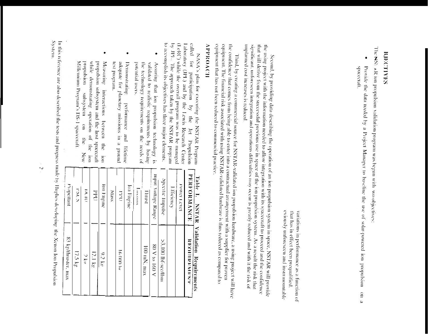### BJECTIVES

The NSt AR ion propulsion validation program was began with 'wo objectives:

 $\bullet$ Provide the data needed by a Project Manager to baseline the use of solar-powered ion propulsion abacceraft.  $\frac{1}{2}$ 

eviously unforescen and insurmonatable that has in effect been prequalified. variations in performance as a function of

unplanned cost increases is reduced. significant, unforescen integration and operations difficulties may occur is greadly reduced and with it the risk of that will derive from the successful previous use in space of the ion propulsion system. As a result the risk that the using project with the information needed to allow integration with its spacecraft to proceed and the confidence Second, by providing data describing the operation of an ion propulsion system in space, NSTAR will provide

equipment that has not been reduced to commercial practice. equipment. The financial risk associated with using NSTAR-validated hardware is thus reduced as compared to the confidence that comes from being able to enter into a contractual arrangement with a supplier for proven Third, by creating a commercial source for NSTAR-validated ion propulsion hardware, a using project will have

### **HOVOMHV**

by JPL. The approach taken by the NSTAR program to accomplish its objectives has three major elements. (LeRC) while the overall program was to be managed Laboratory (JPL) and by the Lewis Research Center called for participation NASA's plan for executing the NSTAR Program by the Jet Propulsion

- $\bullet$ potential users. the technology requirements on the needs of validated to realistic requirements by basing Assuring that ion propulsion technology is
- $\bullet$ test program. adequate for planetary missions in a ground Demonstrating performance and lifetime
- $\bullet$ Millennium Program's 198-1 spacecraft mobulsion while demonstrating operation of the ion propulsion subsystem and the host spacecraft Measuring interactions between the aubsystem  $\frac{1}{2}$  $\frac{1}{2}$ New  $rac{1}{2}$

| Table 1.<br>NNTNIN | Validation Requirements |
|--------------------|-------------------------|
| PERORMANCE         | <b>NEOITEENNESS!</b>    |
| <b>LOVEL TOWOT</b> |                         |
| Efficiency         |                         |
| ppertne finpulse   | $>3$ , 100 lbf-sec/lbm  |
| mput Voltage Range | 80 V to 160 V           |
| Bough              | 100 mN, max             |
| <b>MULTIME</b>     |                         |
| Ion Engine         |                         |
| <b>THO</b>         | H OOD hr                |
| <b>Mass</b>        |                         |
| auratus not        | 9.2 kg                  |
| <b>Did</b>         | 12.1 kg                 |
| <b>INCID</b>       | $\frac{2}{5}$           |
| こくじ                | 17.5 kg                 |
|                    |                         |

menodoru 83 kg/thruster, max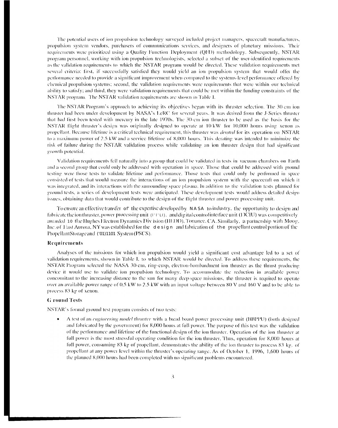The potential users of ion propulsion technology surveyed included project managers, spacecraft manufacturers, propulsion system vendors, purchasers of communications services, and designers of planetary missions. Their requirements were prioritized using a Quality Function Deployment (QFD) methodology. Subsequently, NSTAR program personnel, working with ion propulsion technologists, selected a subset of the user-identified requirements as the validation requirements to which the NSTAR program would be directed. These validation requirements met several criteria: first, if successfully satisfied they would yield an ion propulsion system that would offer the performance needed to provide a significant improvement when compared to the systems-level performance offered by chemical propulsion systems; second, the validation requirements were requirements that were within our technical ability to satisfy; and third, they were validation requirements that could be met within the funding constraints of the NSTAR program. The NSTAR validation requirements are shown in Table I.

The NSTAR Program's approach to achieving its objectives began with its thruster selection. The 30-cm ion thruster had been under development by NASA's LeRC for several years. It was derived from the J-Series thruster that had first been tested with mercury in the late 1970s. The 30-cm ion thruster to be used as the basis for the NSTAR flight thruster's design was originally designed to operate at 10 kW for 10,000 hours using xenon as propellant. Because lifetime is a critical technical requirement, this thruster was *derated* for its operation on NSTAR to a maximum power of 2.5 kW and a service lifetime of 8,000 hours. This derating was intended to minimize the risk of failure during the NSTAR validation process while validating an ion thruster design that had significant growth potential.

Validation requirements fell naturally into a group that could be validated in tests in vacuum chambers on Earth and a second group that could only be addressed with operation in space. Those that could be addressed with ground testing were those tests to validate lifetime and performance. Those tests that could only be performed in space consisted of tests that would measure the interactions of an ion propulsion system with the spacecraft on which it was integrated, and its interactions with the surrounding space plasma. In addition to the validation tests planned for ground tests, a series of development tests were anticipated. These development tests would address detailed design issues, obtaining data that would contribute to the design of the flight thruster and power processing unit.

To ensure an effective transfer of the expertise developed by NASA to industry, the opportunity to design and fabricate the ion thruster, power processing unit (1991), and digital control interface unit (DCIU) was competitively awarded 10 the Hughes Electron Dynamics Div ision (HEDD), Torrance, CA. Similarly, a partnership with Moog. Inc. of East Auror a, NY was established for the design and fabrication of the propellant control portion of the PropellantStorageand ('01)1101 System (PSCS).

### Requirements

Analyses of the missions for which ion propulsion would yield a significant cost advantage led to a set of validation requirements, shown in Table I, to which NSTAR would be directed. To address these requirements, the NSTAR Program selected the NASA 30-cm, ring-cusp, electron-bombardment ion thruster as the thrust producing device it would use to validate ion propulsion technology. To accommodate the reduction in available power concomitant to the increasing distance to the sun for many deep-space missions, the thruster is required to operate over an available power range of 0.5 kW to 2.5 kW with an input voltage between 80 V and 160 V and to be able to process 83 kg of xenon.

### **G** round Tests

NSTAR's formal ground test program consists of two tests:

A test of an *engineering model thruster* with a bread board power processing unit (BBPPU) (both designed and fabricated by the government) for 8,000 hours at full power. The purpose of this test was the validation of the performance and lifetime of the functional design of the ion thruster. Operation of the ion thruster at full power is the most stressful operating condition for the ion thruster. Thus, operation for 8,000 hours at full power, consuming 83 kg of propellant, demonstrates the ability of the ion thruster to process 83 kg. of propellant at any power level within the thruster's operating range. As of October 1, 1996, 1,600 hours of the planned 8,000 hours had been completed with no significant problems encountered.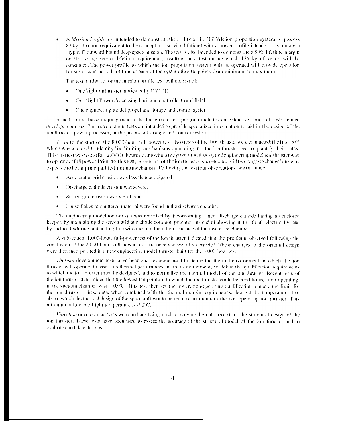A Mission Profile test intended to demonstrate the ability of the NSTAR ion propulsion system to process 83 kg of xenon (equivalent to the concept of a service lifetime) with a power profile intended to simulate a "typical" outward bound deep space mission. The test is also intended to demonstrate a 50% lifetime margin on the 83 kg service lifetime requirement, resulting in a test during which 125 kg of xenon will be consumed. The power profile to which the ion propulsion system will be operated will provide operation for significant periods of time at each of the system throttle points from minimum to maximum.

The test hardware for the mission profile test will consist of:

- One flightion thruster fabricated by 11}11 II).
- One flight Power Processing Unit and controller from HEDD
- One engineering model propellant storage and control system

In addition to these major ground tests, the ground test program includes an extensive series of tests termed development tests. The development tests are intended to provide specialized information to aid in the design of the ion thruster, power processor, or the propellant storage and control system.

Prior to the start of the 8,000-hour, full power test, two tests of the ion thrusterwere conducted; the first of  $\pi$ which was intended to identify life limiting mechanisms operating in the ion thruster and to quantify their rates. This first test was to last for 2.000 hours during which the government-designed engineering model ion thruster was to operate at full power. Prior 10 this test, erosion" of the ion thruster's accelerator grid by charge-exchange ions was expected to be the principal life-limiting mechanism. Following the test four observations were made:

- Accelerator grid erosion was less than anticipated.
- Discharge cathode erosion was severe.
- Screen grid erosion was significant.
- Loose flakes of sputtered material were found in the discharge chamber.

The engineering model ion thruster was reworked by incorporating a new discharge cathode having an enclosed keeper, by maintaining the screen grid at cathode common potential instead of allowing it to "float" electrically, and by surface texturing and adding fine wire mesh to the interior surface of the discharge chamber.

A subsequent 1,000-hour, full-power test of the ion thruster indicated that the problems observed following the conclusion of the 2,000-hour, full-power test had been successfully corrected. These changes to the original design were then incorporated in a new engineering model thruster built for the 8,000 hour test.

*Thermal* development tests have been and are being used to define the thermal environment in which the ion thruster will operate, to assess its thermal performance in that environment, to define the qualification requirements to which the ion thruster must be designed, and to normalize the thermal model of the ion thruster. Recent tests of the ion thruster determined that the lowest temperature to which the ion thruster could be conditioned, non-operating, in the vacuum chamber was -105°C. This test then set the lower, non-operating qualification temperature limit for the ion thruster. These data, when combined with the thermal margin requirements, then set the temperature at or above which the thermal design of the spacecraft would be required to maintain the non-operating ion thruster. This minimum allowable flight temperature is -90°C.

Vibration development tests were and are being used to provide the data needed for the structural design of the ion thruster. These tests have been used to assess the accuracy of the structural model of the ion thruster and to evaluate candidate designs.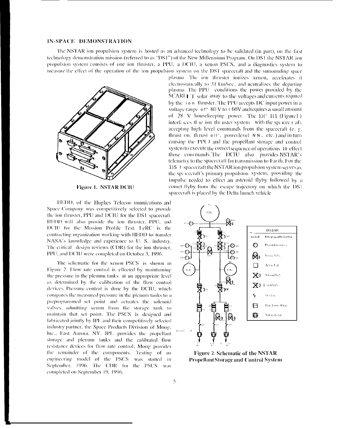### IN-SPACE DEMONSTRATION

The NSTAR ion propulsion system is hosted as an advanced technology to be validated (in part), on the first technology demonstration mission (referred to as "DS1") of the New Millennium Program. On DS1 the NSTAR ion propulsion system consists of one ion thruster, a PPU, a DCIU, a xenon PSCS, and a diagnostics system to measure the effect of the operation of the ion propulsion system on the DS1 spacecraft and the surrounding space



**Figure 1. NSTAR DCIU** 

HEDD, of the Hughes Telecon imunications and Space Company was competitively selected to provide the ion thruster, PPU and DCIU for the DS1 spacecraft. HEDD will also provide the ion thruster, PPU, and DCIU for the Mission Profile Test. LeRC is the contracting organization working with HEDD to transfer NASA's knowledge and experience to U. S. industry. The critical design reviews (CDR) for the ion thruster, PPU, and DCIU were completed on October 3, 1996.

The schematic for the xenon PSCS is shown in Figure 2. Flow rate control is effected by maintaining the pressure in the plenum tanks at an appropriate level as determined by the calibration of the flow control devices. Pressure control is done by the DCIU, which compares the measured pressure in the plenum tanks to a preprogrammed set point and actuates the solenoid valves, admitting xenon from the storage tank to maintain that set point. The PSCS is designed and fabricated jointly by JPL and their competitively selected industry partner, the Space Products Division of Moog, Inc., East Aurora, NY. JPL provides the propellant storage and plenum tanks and the calibrated flow resistance devices for flow rate control; Moog provides the remainder of the components. Testing of an engineering model of the PSCS was started in September, 1996. The CDR for the PSCS was completed on September 19, 1996.

plasma. The ion thruster ionizes xenon, accelerates it electrostatically to 31 km/sec, and neutralizes the departing plasma. The PPU conditions the power provided by the SCARLET solar array to the voltages and currents required by the ion thruster. The PPU accepts DC input power in a voltage range of " 80 V to 1 60V and requires a small amount of  $28$  V housekeeping power. The  $1$  $(1)$   $(1)$   $(1)$   $(1)$   $(1)$ interfaces the ion the uster system with the spacec r aft, accepting high level commands from the spacecraft (e. g. thrust on, th rust oitz, powerlevel NN, etc.) and in turn causing the PPU and the propellant storage and control system to execute the correct sequence of operations 10 effect those commands. The DCIU also provides NSTAR's telemetry to the spacecraft for transmission to Earth. For the 1) S 1 spacecraft the NSTAR ion propulsion system seaves as the spacecraft's primary propulsion system, providing the impulse needed to effect an asteroid flyby followed by a comet flyby from the escape trajectory on which the DS1 spacecraft is placed by the Delta launch vehicle.



Figure 2. Schematic of the NSTAR **Propellant Storage and Control System**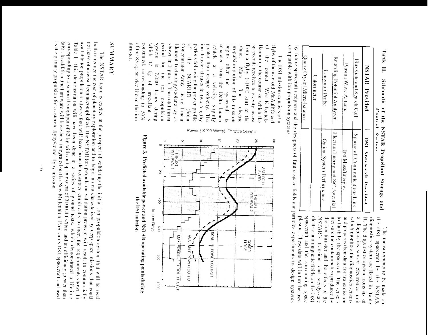|                                      | Caloninoter                                                                    | I amplituding Tracks<br>Optical System Performance | Retailing Potential Analyzer<br>Electron Energy and S/C Potental                 | Plasma Wave Nutenna<br>Ion Mass/Finergies                                          | Flux Gate and Search Coil<br>Spacecraft Communications Link | ZSTNN ryceided<br>DS1 Snacovally Designal                                        | コンテナキシー りょうきん                  |
|--------------------------------------|--------------------------------------------------------------------------------|----------------------------------------------------|----------------------------------------------------------------------------------|------------------------------------------------------------------------------------|-------------------------------------------------------------|----------------------------------------------------------------------------------|--------------------------------|
| spacecraft and the surrounding space | electric and magnetic fields on the 12S1<br>NSTAR's transient and steady-state | the ion thruster and the effects of the            | measure the contamination produced by<br>to Earth by the spacecraft. The sensors | and prepares their data for transmission<br>which monitors the diagnostics sensors | a diagnostics sensor electronics unit                       | It. The diagnostics system consists of<br>diagnostics system are listed in Table | the DS1 spaceraft by the NSTAR |

Table 11. Schematic of the NSTAR Propellant Storage and Control

The measurements to be made on

compatible with ion propulsion systems. by future spacecraft designers and the designers of future space fields and particles experiments to design systems plasma. These data will in turn be used

thruster. of the 83 kg service life of the ion consumed, corresponding to 57% which 47 urajs/s period for shown in Figure 3. The total thrust Element Technology) solar array as Concentrator Array periods following the power profile ion thruster thrusts in two lengthy greater than escape velocity. The vehicle separated from the Delta launch suraoq propulsion portion of this mission touepd from a flyby (~1000 km) of the spacecraft receives a gravity assist Ikemura in the course of which the flyby of the asteroid McAuliffe and  $\frac{1}{2}$ The DSI mission consists of a  $\frac{1}{2}$  $\tilde{\mathbf{x}}$ after the  $\cong$ рацио Mars. kg of propellant 7,080 bours the ion propulsion  $\approx$ **SCARLET** velocity slightly West-Kahontek-The **HELEOCODES** using Linear Зинир electric uaps)  $\frac{1}{2}$ 

Power



Figure 3. Predicted available power and NSTAR operating points during the DS1 mission

### **SUMMARY**

as the primary propulsion for a asteroid flyby/comet flyby mission 60%. In addition, the hardware will have been integrated on the New Millennium Program's DS1 spacecraft and used corresponding to a xenon throughput of 83 kg with an 1sp in excess of 3100 lbf-s/lbm and an efficiency greater than available ion propulsion hardware that will have been demonstrated empirically to meet the requirements shown in not have otherwise been accomplished. The NSTAR ion propulsion validation program will result in commercially Table I. This demonstration will have been done in a series of ground tests, which demonstrated a lifetime both to reduce the cost of planetary exploration and to begin an era characterized by deep space missions that could The NSTAR team is excited at the prospect of validating the initial ion propulsion system that will be used